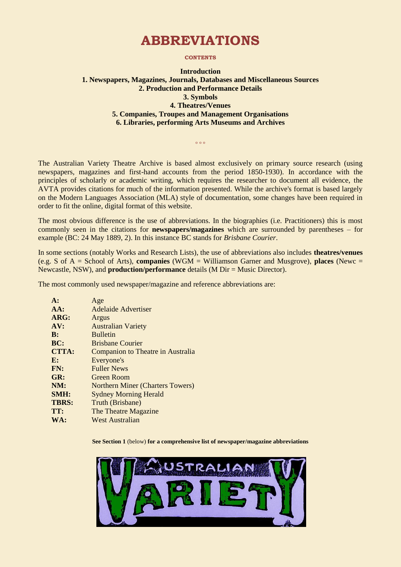# **ABBREVIATIONS**

#### **CONTENTS**

#### **Introduction 1. Newspapers, Magazines, Journals, Databases and Miscellaneous Sources 2. Production and Performance Details 3. Symbols 4. Theatres/Venues 5. Companies, Troupes and Management Organisations 6. Libraries, performing Arts Museums and Archives**

 $0.00$ 

The Australian Variety Theatre Archive is based almost exclusively on primary source research (using newspapers, magazines and first-hand accounts from the period 1850-1930). In accordance with the principles of scholarly or academic writing, which requires the researcher to document all evidence, the AVTA provides citations for much of the information presented. While the archive's format is based largely on the Modern Languages Association (MLA) style of documentation, some changes have been required in order to fit the online, digital format of this website.

The most obvious difference is the use of abbreviations. In the biographies (i.e. Practitioners) this is most commonly seen in the citations for **newspapers/magazines** which are surrounded by parentheses – for example (BC: 24 May 1889, 2). In this instance BC stands for *Brisbane Courier*.

In some sections (notably Works and Research Lists), the use of abbreviations also includes **theatres/venues** (e.g. S of A = School of Arts), **companies** (WGM = Williamson Garner and Musgrove), **places** (Newc = Newcastle, NSW), and **production/performance** details (M Dir = Music Director).

The most commonly used newspaper/magazine and reference abbreviations are:

| $A$ :          | Age                                     |
|----------------|-----------------------------------------|
| AA:            | Adelaide Advertiser                     |
| ARG:           | Argus                                   |
| AV:            | <b>Australian Variety</b>               |
| $\bf{B}$ :     | <b>Bulletin</b>                         |
| BC:            | <b>Brisbane Courier</b>                 |
| <b>CTTA:</b>   | Companion to Theatre in Australia       |
| $\mathbf{E}$ : | Everyone's                              |
| FN:            | <b>Fuller News</b>                      |
| GR:            | Green Room                              |
| NM:            | <b>Northern Miner (Charters Towers)</b> |
| SMH:           | <b>Sydney Morning Herald</b>            |
| <b>TBRS:</b>   | Truth (Brisbane)                        |
| TT:            | The Theatre Magazine                    |
| WA:            | <b>West Australian</b>                  |

**See Section 1** (below) **for a comprehensive list of newspaper/magazine abbreviations**

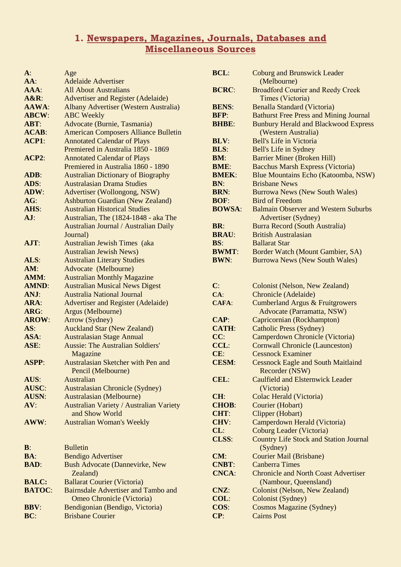### **1. Newspapers, Magazines, Journals, Databases and Miscellaneous Sources**

| $\mathbf{A}$ : | Age                                          |
|----------------|----------------------------------------------|
| $AA$ :         | <b>Adelaide Advertiser</b>                   |
| AAA:           | <b>All About Australians</b>                 |
| $A\&R$ :       | <b>Advertiser and Register (Adelaide)</b>    |
| AAWA:          | <b>Albany Advertiser (Western Australia)</b> |
| <b>ABCW:</b>   | <b>ABC</b> Weekly                            |
| ABT:           | Advocate (Burnie, Tasmania)                  |
| <b>ACAB:</b>   | <b>American Composers Alliance Bulletin</b>  |
| ACP1:          | <b>Annotated Calendar of Plays</b>           |
|                | Premiered in Australia 1850 - 1869           |
| ACP2:          | <b>Annotated Calendar of Plays</b>           |
|                | Premiered in Australia 1860 - 1890           |
| ADB:           | <b>Australian Dictionary of Biography</b>    |
| ADS:           | <b>Australasian Drama Studies</b>            |
| ADW:           | Advertiser (Wollongong, NSW)                 |
| AG:            | <b>Ashburton Guardian (New Zealand)</b>      |
| AHS:           | <b>Australian Historical Studies</b>         |
| AJ:            | Australian, The (1824-1848 - aka The         |
|                | Australian Journal / Australian Daily        |
|                | Journal)                                     |
| AJT:           | Australian Jewish Times (aka                 |
|                | <b>Australian Jewish News)</b>               |
| ALS:           | <b>Australian Literary Studies</b>           |
| AM:            | Advocate (Melbourne)                         |
| AMM:           | <b>Australian Monthly Magazine</b>           |
| <b>AMND:</b>   | <b>Australian Musical News Digest</b>        |
| ANJ:           | <b>Australia National Journal</b>            |
| ARA:           | <b>Advertiser and Register (Adelaide)</b>    |
| ARG:           | Argus (Melbourne)                            |
| <b>AROW:</b>   | Arrow (Sydney)                               |
| AS:            | <b>Auckland Star (New Zealand)</b>           |
| ASA:           | <b>Australasian Stage Annual</b>             |
| ASE:           | <b>Aussie: The Australian Soldiers'</b>      |
|                | Magazine                                     |
| <b>ASPP:</b>   | Australasian Sketcher with Pen and           |
|                | Pencil (Melbourne)                           |
| AUS:           | Australian                                   |
| AUSC:          | <b>Australasian Chronicle (Sydney)</b>       |
| <b>AUSN:</b>   | Australasian (Melbourne)                     |
| AV:            | Australian Variety / Australian Variety      |
|                | and Show World                               |
| AWW:           | <b>Australian Woman's Weekly</b>             |
|                |                                              |
|                |                                              |
| $\mathbf{B}$ : | <b>Bulletin</b>                              |
| BA:            | <b>Bendigo Advertiser</b>                    |
| <b>BAD:</b>    | <b>Bush Advocate (Dannevirke, New</b>        |
|                | Zealand)                                     |
| <b>BALC:</b>   | <b>Ballarat Courier (Victoria)</b>           |
| <b>BATOC:</b>  | Bairnsdale Advertiser and Tambo and          |
|                | Omeo Chronicle (Victoria)                    |
| <b>BBV:</b>    | Bendigonian (Bendigo, Victoria)              |
| BC:            | <b>Brisbane Courier</b>                      |

| <b>BCL:</b>                  | <b>Coburg and Brunswick Leader</b><br>(Melbourne)                    |
|------------------------------|----------------------------------------------------------------------|
| <b>BCRC:</b>                 | <b>Broadford Courier and Reedy Creek</b><br>Times (Victoria)         |
| <b>BENS:</b>                 | <b>Benalla Standard (Victoria)</b>                                   |
| <b>BFP:</b>                  | <b>Bathurst Free Press and Mining Journal</b>                        |
| <b>BHBE:</b>                 | <b>Bunbury Herald and Blackwood Express</b>                          |
|                              | (Western Australia)                                                  |
| <b>BLV:</b>                  | <b>Bell's Life in Victoria</b>                                       |
| <b>BLS:</b>                  | <b>Bell's Life in Sydney</b>                                         |
| BM:                          | <b>Barrier Miner (Broken Hill)</b>                                   |
| <b>BME:</b>                  | <b>Bacchus Marsh Express (Victoria)</b>                              |
| <b>BMEK:</b>                 | Blue Mountains Echo (Katoomba, NSW)                                  |
| BN:                          | <b>Brisbane News</b>                                                 |
| <b>BRN:</b>                  | <b>Burrowa News (New South Wales)</b>                                |
| <b>BOF:</b>                  | <b>Bird of Freedom</b>                                               |
| <b>BOWSA:</b>                | <b>Balmain Observer and Western Suburbs</b>                          |
|                              | <b>Advertiser (Sydney)</b>                                           |
| <b>BR:</b>                   | <b>Burra Record (South Australia)</b>                                |
| <b>BRAU:</b>                 | <b>British Australasian</b>                                          |
| BS:                          | <b>Ballarat Star</b>                                                 |
| <b>BWMT:</b>                 | Border Watch (Mount Gambier, SA)                                     |
| <b>BWN:</b>                  | <b>Burrowa News (New South Wales)</b>                                |
|                              |                                                                      |
| C:                           | <b>Colonist (Nelson, New Zealand)</b>                                |
| CA:                          | <b>Chronicle</b> (Adelaide)                                          |
| <b>CAFA:</b>                 | <b>Cumberland Argus &amp; Fruitgrowers</b>                           |
|                              | Advocate (Parramatta, NSW)                                           |
| CAP:                         | Capricornian (Rockhampton)                                           |
| <b>CATH:</b>                 | <b>Catholic Press (Sydney)</b>                                       |
| CC:                          | Camperdown Chronicle (Victoria)                                      |
| CCL:                         | <b>Cornwall Chronicle (Launceston)</b>                               |
| CE:                          | <b>Cessnock Examiner</b>                                             |
| <b>CESM:</b>                 | <b>Cessnock Eagle and South Maitlaind</b>                            |
|                              | Recorder (NSW)                                                       |
| CEL:                         | <b>Caulfield and Elsternwick Leader</b>                              |
|                              | (Victoria)                                                           |
| CH:                          | Colac Herald (Victoria)                                              |
| <b>CHOB:</b>                 | Courier (Hobart)                                                     |
| <b>CHT:</b>                  | Clipper (Hobart)                                                     |
| CHV:                         | Camperdown Herald (Victoria)                                         |
| CL:                          | <b>Coburg Leader (Victoria)</b>                                      |
| <b>CLSS:</b>                 | <b>Country Life Stock and Station Journal</b>                        |
|                              | (Sydney)                                                             |
| CM:                          | <b>Courier Mail (Brisbane)</b>                                       |
| <b>CNBT:</b><br><b>CNCA:</b> | <b>Canberra Times</b><br><b>Chronicle and North Coast Advertiser</b> |
|                              | (Nambour, Queensland)                                                |
| CNZ:                         | <b>Colonist (Nelson, New Zealand)</b>                                |
| COL:                         | <b>Colonist (Sydney)</b>                                             |
| COS:                         | <b>Cosmos Magazine (Sydney)</b>                                      |
| CP:                          | <b>Cairns Post</b>                                                   |
|                              |                                                                      |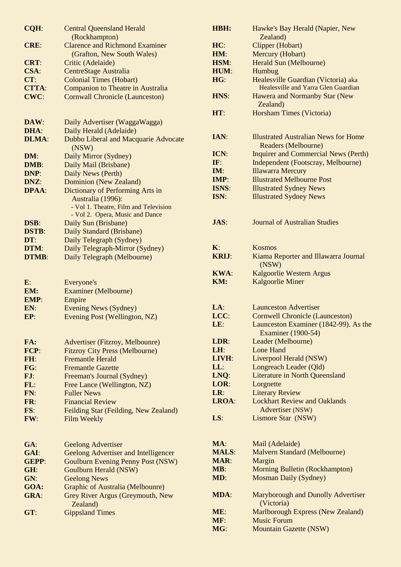| CQH:         | <b>Central Queensland Herald</b>                       | HBH:         | Hawke's Bay Herald (Napier, New                                    |
|--------------|--------------------------------------------------------|--------------|--------------------------------------------------------------------|
|              | (Rockhampton)<br><b>Clarence and Richmond Examiner</b> |              | Zealand)                                                           |
| CRE:         |                                                        | HC:          | Clipper (Hobart)                                                   |
|              | (Grafton, New South Wales)                             | HM:          | Mercury (Hobart)                                                   |
| <b>CRT:</b>  | Critic (Adelaide)                                      | HSM:         | Herald Sun (Melbourne)                                             |
| CSA:         | <b>CentreStage Australia</b>                           | HUM:         | Humbug                                                             |
| CT:          | <b>Colonial Times (Hobart)</b>                         | HG:          | Healesville Guardian (Victoria) aka                                |
| <b>CTTA:</b> | <b>Companion to Theatre in Australia</b>               |              | Healesville and Yarra Glen Guardian                                |
| CWC:         | <b>Cornwall Chronicle (Launceston)</b>                 | HNS:         | Hawera and Normanby Star (New<br>Zealand)                          |
|              |                                                        | HT:          | Horsham Times (Victoria)                                           |
| DAW:         | Daily Advertiser (WaggaWagga)                          |              |                                                                    |
| DHA:         | Daily Herald (Adelaide)                                | IAN:         | <b>Illustrated Australian News for Home</b>                        |
| <b>DLMA:</b> | Dubbo Liberal and Macquarie Advocate                   |              | Readers (Melbourne)                                                |
|              | (NSW)                                                  | ICN:         | <b>Inquirer and Commercial News (Perth)</b>                        |
| DM:<br>DMB:  | Daily Mirror (Sydney)                                  | IF:          | Independent (Footscray, Melbourne)                                 |
| DNP:         | Daily Mail (Brisbane)<br>Daily News (Perth)            | IM:          | <b>Illawarra Mercury</b>                                           |
| DNZ:         | Dominion (New Zealand)                                 | IMP:         | <b>Illustrated Melbourne Post</b>                                  |
| <b>DPAA:</b> |                                                        | ISNS:        | <b>Illustrated Sydney News</b>                                     |
|              | Dictionary of Performing Arts in<br>Australia (1996):  | ISN:         | <b>Illustrated Sydney News</b>                                     |
|              | - Vol 1. Theatre, Film and Television                  |              |                                                                    |
|              | - Vol 2. Opera, Music and Dance                        |              |                                                                    |
| DSB:         | Daily Sun (Brisbane)                                   | JAS:         | <b>Journal of Australian Studies</b>                               |
| <b>DSTB:</b> | Daily Standard (Brisbane)                              |              |                                                                    |
| DT:          | Daily Telegraph (Sydney)                               |              |                                                                    |
| DTM:         | Daily Telegraph-Mirror (Sydney)                        | K:           | <b>Kosmos</b>                                                      |
| <b>DTMB:</b> | Daily Telegraph (Melbourne)                            | <b>KRIJ:</b> | Kiama Reporter and Illawarra Journal<br>(NSW)                      |
|              |                                                        | <b>KWA:</b>  | Kalgoorlie Western Argus                                           |
| $E$ :        | Everyone's                                             | KM:          | <b>Kalgoorlie Miner</b>                                            |
| EM:          | <b>Examiner</b> (Melbourne)                            |              |                                                                    |
| EMP:         | Empire                                                 |              |                                                                    |
| EN:          | Evening News (Sydney)                                  | LA:          | <b>Launceston Advertiser</b>                                       |
| EP:          | Evening Post (Wellington, NZ)                          | LCC:         | <b>Cornwell Chronicle (Launceston)</b>                             |
|              |                                                        | LE:          | Launceston Examiner (1842-99). As the<br><b>Examiner</b> (1900-54) |
| FA:          | Advertiser (Fitzroy, Melbounre)                        | LDR:         | Leader (Melbourne)                                                 |
| FCP:         | <b>Fitzroy City Press (Melbourne)</b>                  | LH:          | Lone Hand                                                          |
| FH:          | <b>Fremantle Herald</b>                                | LIVH:        | Liverpool Herald (NSW)                                             |
| FG:          | <b>Fremantle Gazette</b>                               | LL:          | Longreach Leader (Qld)                                             |
| FJ:          | Freeman's Journal (Sydney)                             | LNQ:         | <b>Literature in North Queensland</b>                              |
| FL:          | Free Lance (Wellington, NZ)                            | LOR:         | Lorgnette                                                          |
| FN:          | <b>Fuller News</b>                                     | LR:          | <b>Literary Review</b>                                             |
| FR:          | <b>Financial Review</b>                                | LROA:        | <b>Lockhart Review and Oaklands</b>                                |
| FS:          | Feilding Star (Feilding, New Zealand)                  |              | Advertiser (NSW)                                                   |
| FW:          | Film Weekly                                            | LS:          | Lismore Star (NSW)                                                 |
| GA:          | <b>Geelong Advertiser</b>                              | MA:          | Mail (Adelaide)                                                    |
| GAI:         | <b>Geelong Advertiser and Intelligencer</b>            | <b>MALS:</b> | Malvern Standard (Melbourne)                                       |
| <b>GEPP:</b> | <b>Goulburn Evening Penny Post (NSW)</b>               | <b>MAR:</b>  | Margin                                                             |
| GH:          | Goulburn Herald (NSW)                                  | MB:          | <b>Morning Bulletin (Rockhampton)</b>                              |
| GN:          | <b>Geelong News</b>                                    | MD:          | <b>Mosman Daily (Sydney)</b>                                       |
| GOA:         | Graphic of Australia (Melbounre)                       |              |                                                                    |
| GRA:         | Grey River Argus (Greymouth, New                       | MDA:         | Maryborough and Dunolly Advertiser                                 |
|              | Zealand)                                               |              | (Victoria)                                                         |
| GT:          | <b>Gippsland Times</b>                                 | ME:          | Marlborough Express (New Zealand)                                  |
|              |                                                        | MF:          | <b>Music Forum</b>                                                 |
|              |                                                        | MG:          | <b>Mountain Gazette (NSW)</b>                                      |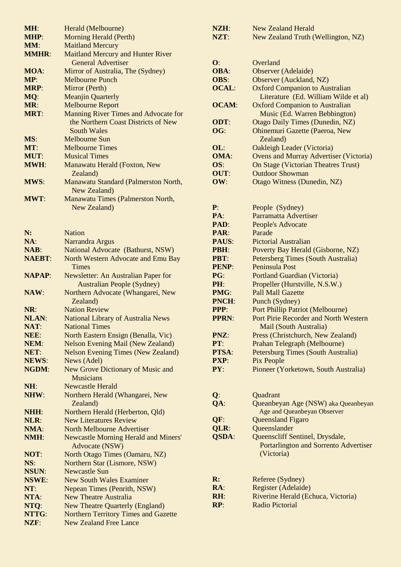| MH:           | Herald (Melbourne)                          |
|---------------|---------------------------------------------|
| <b>MHP:</b>   | <b>Morning Herald (Perth)</b>               |
| MM:           | <b>Maitland Mercury</b>                     |
| <b>MMHR:</b>  | <b>Maitland Mercury and Hunter River</b>    |
|               | <b>General Advertiser</b>                   |
| MOA:          | Mirror of Australia, The (Sydney)           |
| MP:           | <b>Melbourne Punch</b>                      |
| <b>MRP:</b>   | Mirror (Perth)                              |
| MQ:           | <b>Meanjin Quarterly</b>                    |
| MR:           | <b>Melbourne Report</b>                     |
| <b>MRT:</b>   | Manning River Times and Advocate for        |
|               | the Northern Coast Districts of New         |
|               | <b>South Wales</b>                          |
| MS:           | Melbourne Sun                               |
| MT:           | <b>Melbourne Times</b>                      |
| MUT:          | <b>Musical Times</b>                        |
| <b>MWH:</b>   | Manawatu Herald (Foxton, New                |
|               | Zealand)                                    |
| <b>MWS:</b>   | Manawatu Standard (Palmerston North,        |
|               | New Zealand)                                |
| <b>MWT:</b>   | Manawatu Times (Palmerston North,           |
|               | New Zealand)                                |
|               |                                             |
|               |                                             |
| N:            | <b>Nation</b>                               |
| NA:           | Narrandra Argus                             |
| <b>NAB:</b>   | National Advocate (Bathurst, NSW)           |
| <b>NAEBT:</b> | North Western Advocate and Emu Bay          |
|               | Times                                       |
| <b>NAPAP:</b> | Newsletter: An Australian Paper for         |
|               | <b>Australian People (Sydney)</b>           |
| NAW:          | Northern Advocate (Whangarei, New           |
|               | Zealand)                                    |
| NR:           | <b>Nation Review</b>                        |
| <b>NLAN:</b>  | <b>National Library of Australia News</b>   |
| NAT:          | <b>National Times</b>                       |
| NEE:          | North Eastern Ensign (Benalla, Vic)         |
| NEM:          | <b>Nelson Evening Mail (New Zealand)</b>    |
| NET:          | <b>Nelson Evening Times (New Zealand)</b>   |
| <b>NEWS:</b>  | News (Adel)                                 |
| NGDM:         | New Grove Dictionary of Music and           |
|               | <b>Musicians</b>                            |
| NH:           | <b>Newcastle Herald</b>                     |
| NHW:          | Northern Herald (Whangarei, New             |
|               | Zealand)                                    |
| NHH:          | Northern Herald (Herberton, Qld)            |
| NLR:          | <b>New Literatures Review</b>               |
| NMA:          | <b>North Melbourne Advertiser</b>           |
| NMH:          | <b>Newcastle Morning Herald and Miners'</b> |
|               | <b>Advocate (NSW)</b>                       |
| NOT:          | North Otago Times (Oamaru, NZ)              |
| NS:           | Northern Star (Lismore, NSW)                |
| <b>NSUN:</b>  | <b>Newcastle Sun</b>                        |
| NSWE:         | <b>New South Wales Examiner</b>             |
| NT:           | Nepean Times (Penrith, NSW)                 |
| NTA:          | <b>New Theatre Australia</b>                |
| NTQ:          | <b>New Theatre Quarterly (England)</b>      |
| NTTG:         | <b>Northern Territory Times and Gazette</b> |
| NZF:          | <b>New Zealand Free Lance</b>               |
|               |                                             |

| NZH:<br>NZT: | <b>New Zealand Herald</b><br>New Zealand Truth (Wellington, NZ)        |
|--------------|------------------------------------------------------------------------|
|              |                                                                        |
| O:           | Overland                                                               |
| OBA:         | Observer (Adelaide)                                                    |
| <b>OBS:</b>  | Observer (Auckland, NZ)                                                |
| <b>OCAL:</b> | <b>Oxford Companion to Australian</b>                                  |
|              | Literature (Ed. William Wilde et al)                                   |
| <b>OCAM:</b> | <b>Oxford Companion to Australian</b>                                  |
|              | Music (Ed. Warren Bebbington)                                          |
| ODT:         | <b>Otago Daily Times (Dunedin, NZ)</b>                                 |
| OG:          | <b>Ohinemuri Gazette (Paeroa, New</b><br>Zealand)                      |
| OL:          | <b>Oakleigh Leader (Victoria)</b>                                      |
| <b>OMA:</b>  | <b>Ovens and Murray Advertiser (Victoria)</b>                          |
| OS:          | <b>On Stage (Victorian Theatres Trust)</b>                             |
| OUT:         | <b>Outdoor Showman</b>                                                 |
| OW:          | <b>Otago Witness (Dunedin, NZ)</b>                                     |
| P:           | People (Sydney)                                                        |
| PA:          | Parramatta Advertiser                                                  |
| PAD:         | People's Advocate                                                      |
| PAR:         | Parade                                                                 |
| PAUS:        | Pictorial Australian                                                   |
| PBH:         | Poverty Bay Herald (Gisborne, NZ)                                      |
| <b>PBT:</b>  | Petersberg Times (South Australia)                                     |
| <b>PENP:</b> | Peninsula Post                                                         |
| PG:          | <b>Portland Guardian (Victoria)</b>                                    |
| PH:          | Propeller (Hurstville, N.S.W.)                                         |
| PMG:         | <b>Pall Mall Gazette</b>                                               |
| PNCH:        | Punch (Sydney)                                                         |
| PPP:         | <b>Port Phillip Patriot (Melbourne)</b>                                |
| <b>PPRN:</b> | Port Pirie Recorder and North Western<br><b>Mail (South Australia)</b> |
| PNZ:         | Press (Christchurch, New Zealand)                                      |
| PT:          | Prahan Telegraph (Melbourne)                                           |
| PTSA:        | Petersburg Times (South Australia)                                     |
| PXP:         | Pix People                                                             |
| PY:          | Pioneer (Yorketown, South Australia)                                   |
| $Q$ :        |                                                                        |
| QA:          | Quadrant<br>Queanbeyan Age (NSW) aka Queanbeyan                        |
|              | Age and Queanbeyan Observer                                            |
| QF:          | <b>Queensland Figaro</b>                                               |
| QLR:         | Queenslander                                                           |
| <b>QSDA:</b> | Queenscliff Sentinel, Drysdale,                                        |
|              | <b>Portarlington and Sorrento Advertiser</b><br>(Victoria)             |
| R:           | Referee (Sydney)                                                       |
| RA:          | Register (Adelaide)                                                    |
| RH:          | Riverine Herald (Echuca, Victoria)                                     |
| RP:          | <b>Radio Pictorial</b>                                                 |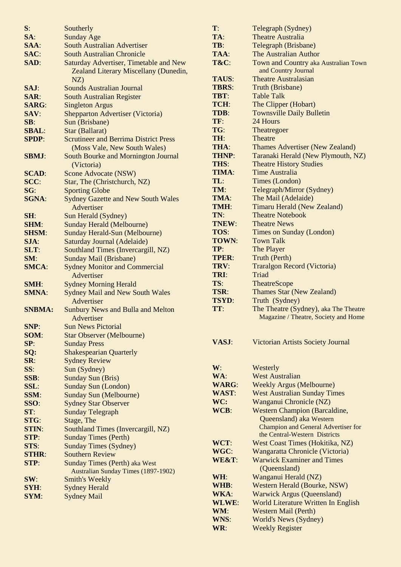| S:            | Southerly                                              |
|---------------|--------------------------------------------------------|
| SA:           | <b>Sunday Age</b>                                      |
| SAA:          | <b>South Australian Advertiser</b>                     |
| SAC:          | <b>South Australian Chronicle</b>                      |
| SAD:          | <b>Saturday Advertiser, Timetable and New</b>          |
|               | Zealand Literary Miscellany (Dunedin,                  |
|               | NZ)                                                    |
| SAJ:          | <b>Sounds Australian Journal</b>                       |
| SAR:          | <b>South Australian Register</b>                       |
| <b>SARG:</b>  | <b>Singleton Argus</b>                                 |
| SAV:          | <b>Shepparton Advertiser (Victoria)</b>                |
| SB:           | Sun (Brisbane)                                         |
| <b>SBAL:</b>  | Star (Ballarat)                                        |
| <b>SPDP:</b>  | <b>Scrutineer and Berrima District Press</b>           |
|               | (Moss Vale, New South Wales)                           |
| <b>SBMJ:</b>  | South Bourke and Mornington Journal                    |
|               | (Victoria)                                             |
| <b>SCAD:</b>  | <b>Scone Advocate (NSW)</b>                            |
| SCC:          | Star, The (Christchurch, NZ)                           |
| SG:           | <b>Sporting Globe</b>                                  |
| <b>SGNA:</b>  | <b>Sydney Gazette and New South Wales</b>              |
|               | Advertiser                                             |
| SH:           | Sun Herald (Sydney)                                    |
| <b>SHM:</b>   | <b>Sunday Herald (Melbourne)</b>                       |
| <b>SHSM:</b>  | <b>Sunday Herald-Sun (Melbourne)</b>                   |
| SJA:          | Saturday Journal (Adelaide)                            |
| SLT:          | Southland Times (Invercargill, NZ)                     |
| SM:           | <b>Sunday Mail (Brisbane)</b>                          |
| <b>SMCA:</b>  | <b>Sydney Monitor and Commercial</b>                   |
|               | Advertiser                                             |
| SMH:          | <b>Sydney Morning Herald</b>                           |
| <b>SMNA:</b>  | <b>Sydney Mail and New South Wales</b>                 |
|               | Advertiser                                             |
| <b>SNBMA:</b> | <b>Sunbury News and Bulla and Melton</b>               |
|               | Advertiser                                             |
| SNP:          | <b>Sun News Pictorial</b>                              |
| SOM:          | <b>Star Observer (Melbourne)</b>                       |
| SP:           | <b>Sunday Press</b>                                    |
| SQ:           | <b>Shakespearian Quarterly</b>                         |
| SR:           | <b>Sydney Review</b>                                   |
| SS:           | Sun (Sydney)                                           |
| SSB:          | <b>Sunday Sun (Bris)</b>                               |
| SSL:          | <b>Sunday Sun (London)</b>                             |
| SSM:          | <b>Sunday Sun (Melbourne)</b>                          |
| SSO:<br>ST:   | <b>Sydney Star Observer</b><br><b>Sunday Telegraph</b> |
| <b>STG:</b>   | Stage, The                                             |
| <b>STIN:</b>  | Southland Times (Invercargill, NZ)                     |
| STP:          | <b>Sunday Times (Perth)</b>                            |
| STS:          | <b>Sunday Times (Sydney)</b>                           |
| <b>STHR:</b>  | <b>Southern Review</b>                                 |
| STP:          | <b>Sunday Times (Perth) aka West</b>                   |
|               | <b>Australian Sunday Times (1897-1902)</b>             |
| SW:           | <b>Smith's Weekly</b>                                  |
| SYH:          | <b>Sydney Herald</b>                                   |
| <b>SYM:</b>   | <b>Sydney Mail</b>                                     |
|               |                                                        |

| $\mathbf{T}$ :     | Telegraph (Sydney)                                                                                     |
|--------------------|--------------------------------------------------------------------------------------------------------|
| TA:                | <b>Theatre Australia</b>                                                                               |
| TB:                | Telegraph (Brisbane)                                                                                   |
| TAA:               | The Australian Author                                                                                  |
| T&C:               | Town and Country aka Australian Town<br>and Country Journal                                            |
| <b>TAUS:</b>       | <b>Theatre Australasian</b>                                                                            |
| <b>TBRS:</b>       | Truth (Brisbane)                                                                                       |
| <b>TBT:</b>        | <b>Table Talk</b>                                                                                      |
| TCH:               | The Clipper (Hobart)                                                                                   |
| TDB:               | <b>Townsville Daily Bulletin</b>                                                                       |
| TF:                | 24 Hours                                                                                               |
| TG:                | Theatregoer                                                                                            |
| TH:                | Theatre                                                                                                |
| THA:               | <b>Thames Advertiser (New Zealand)</b>                                                                 |
| <b>THNP:</b>       | Taranaki Herald (New Plymouth, NZ)                                                                     |
| THS:               | <b>Theatre History Studies</b>                                                                         |
| TIMA:              | <b>Time Australia</b>                                                                                  |
| TL:                |                                                                                                        |
|                    | Times (London)                                                                                         |
| TM:                | Telegraph/Mirror (Sydney)                                                                              |
| TMA:               | The Mail (Adelaide)                                                                                    |
| TMH:               | <b>Timaru Herald (New Zealand)</b>                                                                     |
| TN:                | <b>Theatre Notebook</b>                                                                                |
| TNEW:              | <b>Theatre News</b>                                                                                    |
| TOS:               | Times on Sunday (London)                                                                               |
| <b>TOWN:</b>       | <b>Town Talk</b>                                                                                       |
| TP:                | The Player                                                                                             |
| <b>TPER:</b>       | Truth (Perth)                                                                                          |
| TRV:               | <b>Traralgon Record (Victoria)</b>                                                                     |
| TRI:               | Triad                                                                                                  |
| TS:                | <b>TheatreScope</b>                                                                                    |
| TSR:               | <b>Thames Star (New Zealand)</b>                                                                       |
| <b>TSYD:</b>       | Truth (Sydney)                                                                                         |
| TT:                | The Theatre (Sydney), aka The Theatre<br>Magazine / Theatre, Society and Home                          |
| VASJ:              | <b>Victorian Artists Society Journal</b>                                                               |
| W:                 | Westerly                                                                                               |
| WA:                | <b>West Australian</b>                                                                                 |
| <b>WARG:</b>       | <b>Weekly Argus (Melbourne)</b>                                                                        |
| <b>WAST:</b>       | <b>West Australian Sunday Times</b>                                                                    |
| WC:                | Wanganui Chronicle (NZ)                                                                                |
| WCB:               | <b>Western Champion (Barcaldine,</b>                                                                   |
|                    | Queensland) aka Western<br><b>Champion and General Advertiser for</b><br>the Central-Western Districts |
| WCT:               | West Coast Times (Hokitika, NZ)                                                                        |
| WGC:               |                                                                                                        |
| WE&T:              | Wangaratta Chronicle (Victoria)<br><b>Warwick Examiner and Times</b>                                   |
|                    | (Queensland)                                                                                           |
| WH:                | Wanganui Herald (NZ)                                                                                   |
| WHB:               | Western Herald (Bourke, NSW)                                                                           |
| <b>WKA:</b>        |                                                                                                        |
|                    | <b>Warwick Argus (Queensland)</b>                                                                      |
| <b>WLWE:</b>       | <b>World Literature Written In English</b>                                                             |
| WM:                | <b>Western Mail (Perth)</b>                                                                            |
| <b>WNS:</b><br>WR: | <b>World's News (Sydney)</b><br><b>Weekly Register</b>                                                 |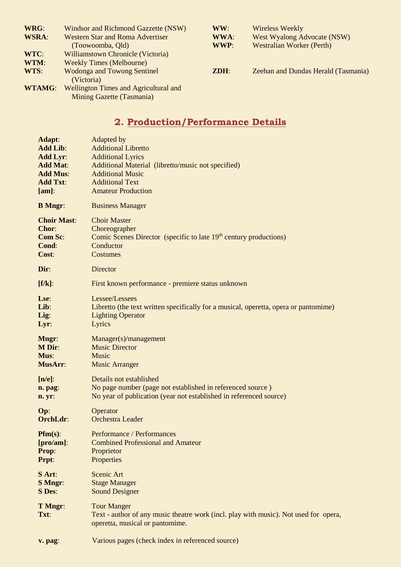| WRG:          | Windsor and Richmond Gazzette (NSW)              | WW:     | <b>Wireless Weekly</b>              |
|---------------|--------------------------------------------------|---------|-------------------------------------|
| <b>WSRA:</b>  | <b>Western Star and Roma Advertiser</b>          | WWA:    | <b>West Wyalong Advocate (NSW)</b>  |
|               | (Toowoomba, Old)                                 | WWP:    | <b>Westralian Worker (Perth)</b>    |
| WTC:          | Williamstown Chronicle (Victoria)                |         |                                     |
| WTM:          | <b>Weekly Times (Melbourne)</b>                  |         |                                     |
| WTS:          | <b>Wodonga and Towong Sentinel</b><br>(Victoria) | $ZDH$ : | Zeehan and Dundas Herald (Tasmania) |
| <b>WTAMG:</b> | <b>Wellington Times and Agricultural and</b>     |         |                                     |
|               | Mining Gazette (Tasmania)                        |         |                                     |

# **2. Production/Performance Details**

| <b>Adapt:</b>      | Adapted by                                                                                                                                    |
|--------------------|-----------------------------------------------------------------------------------------------------------------------------------------------|
| <b>Add Lib:</b>    | <b>Additional Libretto</b>                                                                                                                    |
| <b>Add Lyr:</b>    | <b>Additional Lyrics</b>                                                                                                                      |
| <b>Add Mat:</b>    | Additional Material (libretto/music not specified)                                                                                            |
| <b>Add Mus:</b>    | <b>Additional Music</b>                                                                                                                       |
| <b>Add Txt:</b>    | <b>Additional Text</b>                                                                                                                        |
| $[am]$ :           | <b>Amateur Production</b>                                                                                                                     |
| <b>B</b> Mngr:     | <b>Business Manager</b>                                                                                                                       |
| <b>Choir Mast:</b> | <b>Choir Master</b>                                                                                                                           |
| Chor:              | Choreographer                                                                                                                                 |
| <b>Com Sc:</b>     | Comic Scenes Director (specific to late 19 <sup>th</sup> century productions)                                                                 |
| Cond:              | Conductor                                                                                                                                     |
| Cost:              | Costumes                                                                                                                                      |
| Dir:               | Director                                                                                                                                      |
| $[f/k]$ :          | First known performance - premiere status unknown                                                                                             |
| Lse:               | Lessee/Lessees                                                                                                                                |
| Lib:               | Libretto (the text written specifically for a musical, operetta, opera or pantomime)                                                          |
| Lig:               | <b>Lighting Operator</b>                                                                                                                      |
| Lyr:               | Lyrics                                                                                                                                        |
| Mngr:              | Manager(s)/management                                                                                                                         |
| <b>M</b> Dir:      | <b>Music Director</b>                                                                                                                         |
| Mus:               | Music                                                                                                                                         |
| MusArr:            | <b>Music Arranger</b>                                                                                                                         |
| $[n/e]$ :          | Details not established                                                                                                                       |
| n. pag:            | No page number (page not established in referenced source)                                                                                    |
| n. yr:             | No year of publication (year not established in referenced source)                                                                            |
| Op:                | Operator                                                                                                                                      |
| OrchLdr:           | <b>Orchestra Leader</b>                                                                                                                       |
| $Pfm(s)$ :         | Performance / Performances                                                                                                                    |
| $[pro/am]$ :       | <b>Combined Professional and Amateur</b>                                                                                                      |
| Prop:              | Proprietor                                                                                                                                    |
| Prpt:              | Properties                                                                                                                                    |
| S Art:             | Scenic Art                                                                                                                                    |
| <b>S</b> Mngr:     | <b>Stage Manager</b>                                                                                                                          |
| <b>S</b> Des:      | <b>Sound Designer</b>                                                                                                                         |
| T Mngr:<br>Txt:    | <b>Tour Manger</b><br>Text - author of any music theatre work (incl. play with music). Not used for opera,<br>operetta, musical or pantomime. |
| v. pag:            | Various pages (check index in referenced source)                                                                                              |